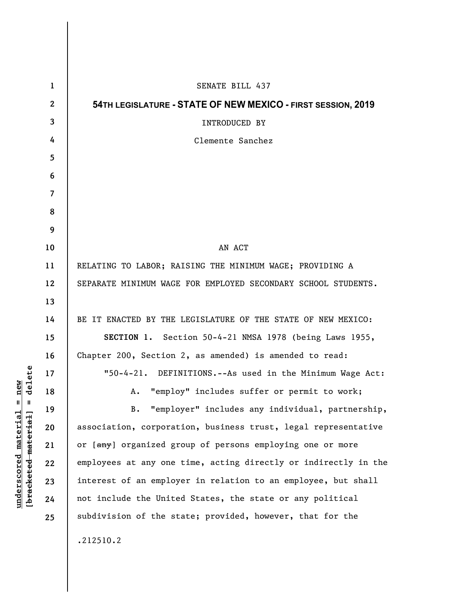| 1              | SENATE BILL 437                                                 |
|----------------|-----------------------------------------------------------------|
| $\mathbf{2}$   | 54TH LEGISLATURE - STATE OF NEW MEXICO - FIRST SESSION, 2019    |
| 3              | <b>INTRODUCED BY</b>                                            |
| 4              | Clemente Sanchez                                                |
| 5              |                                                                 |
| 6              |                                                                 |
| $\overline{7}$ |                                                                 |
| 8              |                                                                 |
| 9              |                                                                 |
| 10             | AN ACT                                                          |
| 11             | RELATING TO LABOR; RAISING THE MINIMUM WAGE; PROVIDING A        |
| 12             | SEPARATE MINIMUM WAGE FOR EMPLOYED SECONDARY SCHOOL STUDENTS.   |
| 13             |                                                                 |
| 14             | BE IT ENACTED BY THE LEGISLATURE OF THE STATE OF NEW MEXICO:    |
| 15             | SECTION 1. Section 50-4-21 NMSA 1978 (being Laws 1955,          |
| 16             | Chapter 200, Section 2, as amended) is amended to read:         |
| 17             | "50-4-21. DEFINITIONS.--As used in the Minimum Wage Act:        |
| 18             | "employ" includes suffer or permit to work;<br>Α.               |
| 19             | "employer" includes any individual, partnership,<br><b>B.</b>   |
| 20             | association, corporation, business trust, legal representative  |
| 21             | or [any] organized group of persons employing one or more       |
| 22             | employees at any one time, acting directly or indirectly in the |
| 23             | interest of an employer in relation to an employee, but shall   |
| 24             | not include the United States, the state or any political       |
| 25             | subdivision of the state; provided, however, that for the       |
|                | .212510.2                                                       |
|                |                                                                 |

**underscored material = new [bracketed material] = delete**

 $[**bracket eted metert et**] = **del et e**$  $underscored material = new$ 

 $\overline{\phantom{a}}$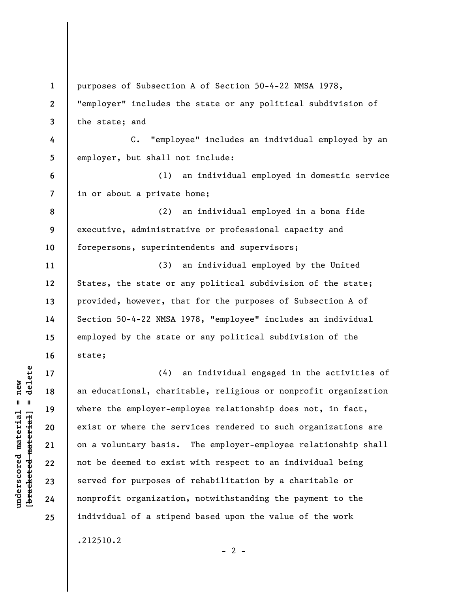**1 2 3 4 5 6 7 8 9 10 11 12 13 14 15 16 17 18 19 20 21 22 23 24 25**  purposes of Subsection A of Section 50-4-22 NMSA 1978, "employer" includes the state or any political subdivision of the state; and C. "employee" includes an individual employed by an employer, but shall not include: (1) an individual employed in domestic service in or about a private home; (2) an individual employed in a bona fide executive, administrative or professional capacity and forepersons, superintendents and supervisors; (3) an individual employed by the United States, the state or any political subdivision of the state; provided, however, that for the purposes of Subsection A of Section 50-4-22 NMSA 1978, "employee" includes an individual employed by the state or any political subdivision of the state; (4) an individual engaged in the activities of an educational, charitable, religious or nonprofit organization where the employer-employee relationship does not, in fact, exist or where the services rendered to such organizations are on a voluntary basis. The employer-employee relationship shall not be deemed to exist with respect to an individual being served for purposes of rehabilitation by a charitable or nonprofit organization, notwithstanding the payment to the individual of a stipend based upon the value of the work .212510.2

 $- 2 -$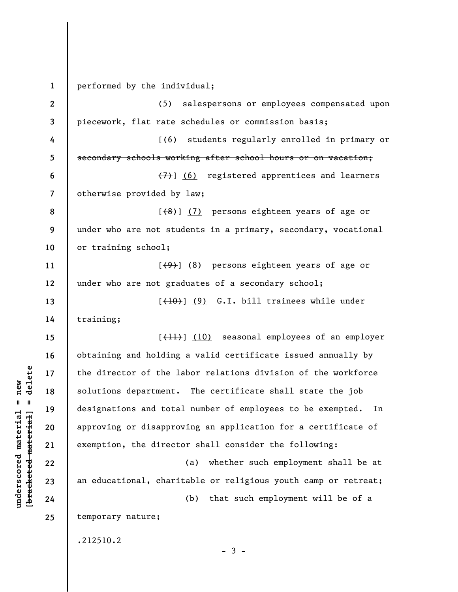**1 2 3 4 5 6 7 8 9 10 11 12 13 14 15 16 17 18 19 20 21 22 23 24 25**  performed by the individual; (5) salespersons or employees compensated upon piecework, flat rate schedules or commission basis; [(6) students regularly enrolled in primary or secondary schools working after school hours or on vacation; (7)] (6) registered apprentices and learners otherwise provided by law;  $[$ (8)]  $(7)$  persons eighteen years of age or under who are not students in a primary, secondary, vocational or training school;  $[\frac{(9)}{8}]$  persons eighteen years of age or under who are not graduates of a secondary school;  $[+10)$  (9) G.I. bill trainees while under training; [(11)] (10) seasonal employees of an employer obtaining and holding a valid certificate issued annually by the director of the labor relations division of the workforce solutions department. The certificate shall state the job designations and total number of employees to be exempted. In approving or disapproving an application for a certificate of exemption, the director shall consider the following: (a) whether such employment shall be at an educational, charitable or religious youth camp or retreat; (b) that such employment will be of a temporary nature; .212510.2  $-3 -$ 

**underscored material = new [bracketed material] = delete**

 $\frac{1}{2}$  intereted material = delete  $underscored material = new$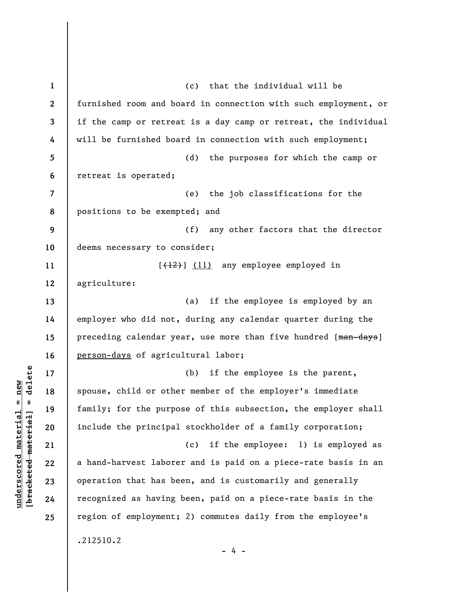**1 2 3 4 5 6 7 8 9 10 11 12 13 14 15 16 17 18 19 20 21 22 23 24 25**  (c) that the individual will be furnished room and board in connection with such employment, or if the camp or retreat is a day camp or retreat, the individual will be furnished board in connection with such employment; (d) the purposes for which the camp or retreat is operated; (e) the job classifications for the positions to be exempted; and (f) any other factors that the director deems necessary to consider; [(12)] (11) any employee employed in agriculture: (a) if the employee is employed by an employer who did not, during any calendar quarter during the preceding calendar year, use more than five hundred [man-days] person-days of agricultural labor; (b) if the employee is the parent, spouse, child or other member of the employer's immediate family; for the purpose of this subsection, the employer shall include the principal stockholder of a family corporation; (c) if the employee: 1) is employed as a hand-harvest laborer and is paid on a piece-rate basis in an operation that has been, and is customarily and generally recognized as having been, paid on a piece-rate basis in the region of employment; 2) commutes daily from the employee's .212510.2  $- 4 -$ 

 $\frac{1}{2}$  intereted material = delete **[bracketed material] = delete**  $underscored material = new$ **underscored material = new**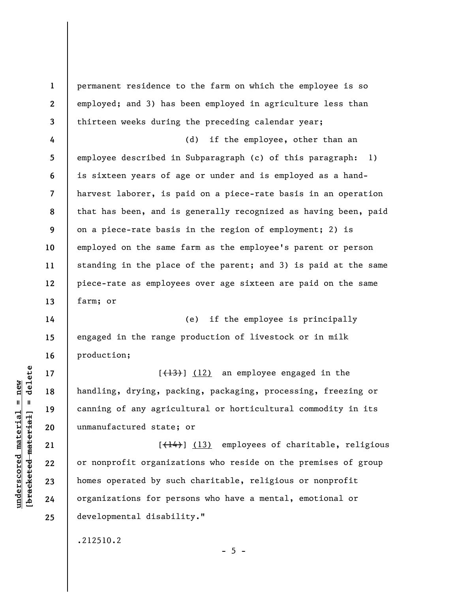**1 2 3 4 5 6 7 8 9 10 11 12 13 14 15 16 17 18 19 20 21 22**  permanent residence to the farm on which the employee is so employed; and 3) has been employed in agriculture less than thirteen weeks during the preceding calendar year; (d) if the employee, other than an employee described in Subparagraph (c) of this paragraph: 1) is sixteen years of age or under and is employed as a handharvest laborer, is paid on a piece-rate basis in an operation that has been, and is generally recognized as having been, paid on a piece-rate basis in the region of employment; 2) is employed on the same farm as the employee's parent or person standing in the place of the parent; and 3) is paid at the same piece-rate as employees over age sixteen are paid on the same farm; or (e) if the employee is principally engaged in the range production of livestock or in milk production;  $[\frac{13}{12}]$  (12) an employee engaged in the handling, drying, packing, packaging, processing, freezing or canning of any agricultural or horticultural commodity in its unmanufactured state; or  $[$ (14)</sub> $]$  (13) employees of charitable, religious or nonprofit organizations who reside on the premises of group

homes operated by such charitable, religious or nonprofit organizations for persons who have a mental, emotional or developmental disability."

.212510.2

 $\frac{1}{2}$  intereted material = delete **[bracketed material] = delete**  $underscored material = new$ **underscored material = new**

**23** 

**24** 

**25** 

 $- 5 -$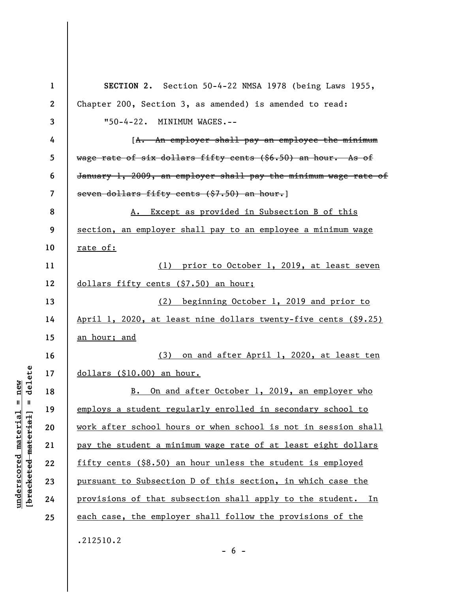| $\mathbf{1}$ | SECTION 2. Section 50-4-22 NMSA 1978 (being Laws 1955,          |
|--------------|-----------------------------------------------------------------|
| $\mathbf{2}$ | Chapter 200, Section 3, as amended) is amended to read:         |
| 3            | "50-4-22. MINIMUM WAGES.--                                      |
| 4            | [A. An employer shall pay an employee the minimum               |
| 5            | wage rate of six dollars fifty cents (\$6.50) an hour. As of    |
| 6            | January 1, 2009, an employer shall pay the minimum wage rate of |
| 7            | seven dollars fifty cents (\$7.50) an hour.]                    |
| 8            | A. Except as provided in Subsection B of this                   |
| 9            | section, an employer shall pay to an employee a minimum wage    |
| 10           | rate of:                                                        |
| 11           | (1) prior to October 1, 2019, at least seven                    |
| 12           | dollars fifty cents (\$7.50) an hour;                           |
| 13           | (2) beginning October 1, 2019 and prior to                      |
| 14           | April 1, 2020, at least nine dollars twenty-five cents (\$9.25) |
| 15           | an hour; and                                                    |
| 16           | on and after April 1, 2020, at least ten<br>(3)                 |
| 17           | dollars (\$10.00) an hour.                                      |
| 18           | B. On and after October 1, 2019, an employer who                |
| 19           | employs a student regularly enrolled in secondary school to     |
| 20           | work after school hours or when school is not in session shall  |
| 21           | pay the student a minimum wage rate of at least eight dollars   |
| 22           | fifty cents (\$8.50) an hour unless the student is employed     |
| 23           | pursuant to Subsection D of this section, in which case the     |
| 24           | provisions of that subsection shall apply to the student. In    |
| 25           | each case, the employer shall follow the provisions of the      |
|              | .212510.2                                                       |

 $- 6 -$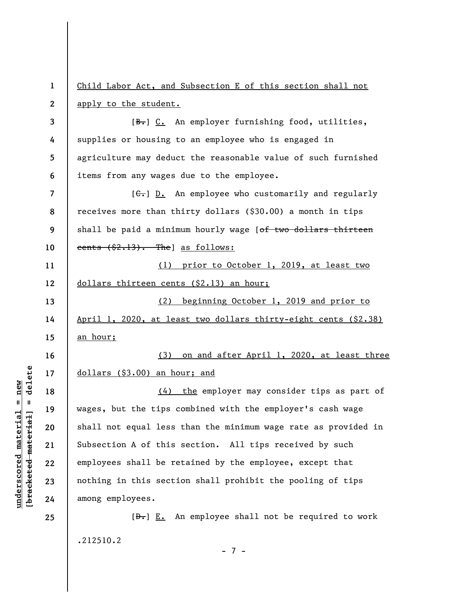**1 2**  Child Labor Act, and Subsection E of this section shall not apply to the student.

**3 4 5 6**  [B.] C. An employer furnishing food, utilities, supplies or housing to an employee who is engaged in agriculture may deduct the reasonable value of such furnished items from any wages due to the employee.

**7 8 9 10**  [ $G$ .] D. An employee who customarily and regularly receives more than thirty dollars (\$30.00) a month in tips shall be paid a minimum hourly wage [of two dollars thirteen cents  $(\text{$2,13).}$  The as follows:

**11 12**  (1) prior to October 1, 2019, at least two dollars thirteen cents (\$2.13) an hour;

(2) beginning October 1, 2019 and prior to April 1, 2020, at least two dollars thirty-eight cents (\$2.38) an hour;

**16 17**  (3) on and after April 1, 2020, at least three dollars (\$3.00) an hour; and

(4) the employer may consider tips as part of wages, but the tips combined with the employer's cash wage shall not equal less than the minimum wage rate as provided in Subsection A of this section. All tips received by such employees shall be retained by the employee, except that nothing in this section shall prohibit the pooling of tips among employees.

 $[\frac{D-1}{2}]$  E. An employee shall not be required to work .212510.2

 $\frac{1}{2}$  intereted material = delete **[bracketed material] = delete**  $anderscored material = new$ **underscored material = new**

**13** 

**14** 

**15** 

**18** 

**19** 

**20** 

**21** 

**22** 

**23** 

**24** 

**25** 

- 7 -